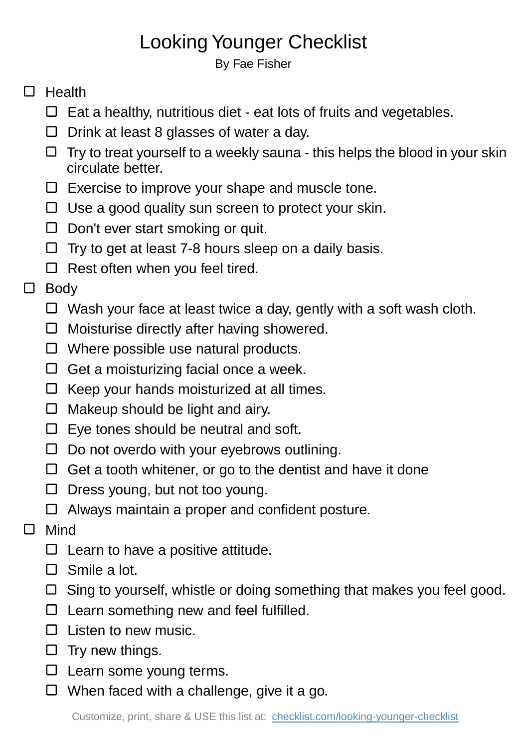## Looking Younger Checklist

By Fae Fisher

## $\Box$  Health

- $\Box$  Eat a healthy, nutritious diet eat lots of fruits and vegetables.
- $\Box$  Drink at least 8 glasses of water a day.
- $\Box$  Try to treat yourself to a weekly sauna this helps the blood in your skin circulate better.
- $\Box$  Exercise to improve your shape and muscle tone.
- $\Box$  Use a good quality sun screen to protect your skin.
- $\Box$  Don't ever start smoking or quit.
- $\Box$  Try to get at least 7-8 hours sleep on a daily basis.
- $\Box$  Rest often when you feel tired.

## □ Body

- $\Box$  Wash your face at least twice a day, gently with a soft wash cloth.
- $\Box$  Moisturise directly after having showered.
- □ Where possible use natural products.
- $\Box$  Get a moisturizing facial once a week.
- $\Box$  Keep your hands moisturized at all times.
- $\Box$  Makeup should be light and airy.
- $\square$  Eye tones should be neutral and soft.
- $\square$  Do not overdo with your eyebrows outlining.
- $\Box$  Get a tooth whitener, or go to the dentist and have it done
- $\Box$  Dress young, but not too young.
- □ Always maintain a proper and confident posture.
- □ Mind
	- $\square$  Learn to have a positive attitude.
	- □ Smile a lot.
	- $\Box$  Sing to yourself, whistle or doing something that makes you feel good.
	- $\Box$  Learn something new and feel fulfilled.
	- $\square$  Listen to new music.
	- $\square$  Try new things.
	- $\Box$  Learn some young terms.
	- $\Box$  When faced with a challenge, give it a go.